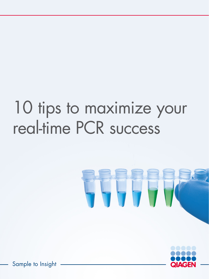# 10 tips to maximize your real-time PCR success





Sample to Insight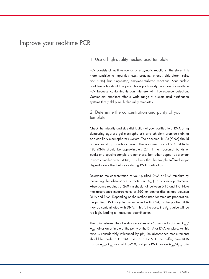# Improve your real-time PCR

#### 1) Use a high-quality nucleic acid template

PCR consists of multiple rounds of enzymatic reactions. Therefore, it is more sensitive to impurities (e.g., proteins, phenol, chloroform, salts, and EDTA) than single-step, enzyme-catalyzed reactions. Your nucleic acid templates should be pure: this is particularly important for real-time PCR because contaminants can interfere with fluorescence detection. Commercial suppliers offer a wide range of nucleic acid purification systems that yield pure, high-quality templates.

## 2) Determine the concentration and purity of your template

Check the integrity and size distribution of your purified total RNA using denaturing agarose gel electrophoresis and ethidium bromide staining or a capillary electrophoresis system. The ribosomal RNAs (rRNA) should appear as sharp bands or peaks. The apparent ratio of 28S rRNA to 18S rRNA should be approximately 2:1. If the ribosomal bands or peaks of a specific sample are not sharp, but rather appear as a smear towards smaller sized RNAs, it is likely that the sample suffered major degradation either before or during RNA purification.

Determine the concentration of your purified DNA or RNA template by measuring the absorbance at 260 nm  $(A_{260})$  in a spectrophotometer. Absorbance readings at 260 nm should fall between 0.15 and 1.0. Note that absorbance measurements at 260 nm cannot discriminate between DNA and RNA. Depending on the method used for template preparation, the purified DNA may be contaminated with RNA, or the purified RNA may be contaminated with DNA. If this is the case, the  $A_{260}$  value will be too high, leading to inaccurate quantification.

The ratio between the absorbance values at 260 nm and 280 nm  $(A_{260}/A)$  $A_{280}$ ) gives an estimate of the purity of the DNA or RNA template. As this ratio is considerably influenced by pH, the absorbance measurements should be made in 10 mM Tris-Cl at pH 7.5. In this buffer, pure DNA has an A<sub>260</sub>/A<sub>280</sub> ratio of 1.8–2.0, and pure RNA has an A<sub>260</sub>/A<sub>280</sub> ratio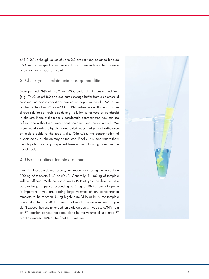of 1.9–2.1, although values of up to 2.3 are routinely obtained for pure RNA with some spectrophotometers. Lower ratios indicate the presence of contaminants, such as proteins.

## 3) Check your nucleic acid storage conditions

Store purified DNA at -20°C or -70°C under slightly basic conditions (e.g., Tris-Cl at pH 8.0 or a dedicated storage buffer from a commercial supplier), as acidic conditions can cause depurination of DNA. Store purified RNA at –20°C or –70°C in RNase-free water. It's best to store diluted solutions of nucleic acids (e.g., dilution series used as standards) in aliquots. If one of the tubes is accidentally contaminated, you can use a fresh one without worrying about contaminating the main stock. We recommend storing aliquots in dedicated tubes that prevent adherence of nucleic acids to the tube walls. Otherwise, the concentration of nucleic acids in solution may be reduced. Finally, it is important to thaw the aliquots once only. Repeated freezing and thawing damages the nucleic acids.

#### 4) Use the optimal template amount

Even for low-abundance targets, we recommend using no more than 100 ng of template RNA or cDNA. Generally, 1–100 ng of template will be sufficient. With the appropriate qPCR kit, you can detect as little as one target copy corresponding to 3 pg of DNA. Template purity is important if you are adding large volumes of low concentration template to the reaction. Using highly pure DNA or RNA, the template can contribute up to 40% of your final reaction volume as long as you don't exceed the recommended template amounts. If you use cDNA from an RT reaction as your template, don't let the volume of undiluted RT reaction exceed 10% of the final PCR volume.

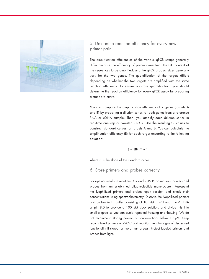

# 5) Determine reaction efficiency for every new primer pair

The amplification efficiencies of the various qPCR setups generally differ because the efficiency of primer annealing, the GC content of the sequences to be amplified, and the qPCR product sizes generally vary for the two genes. The quantification of the targets differs depending on whether the two targets are amplified with the same reaction efficiency. To ensure accurate quantification, you should determine the reaction efficiency for every qPCR assay by preparing a standard curve.

You can compare the amplification efficiency of 2 genes (targets A and B) by preparing a dilution series for both genes from a reference RNA or cDNA sample. Then, you amplify each dilution series in real-time one-step or two-step RT-PCR. Use the resulting  $\mathsf{C}_\mathsf{\tau}$  values to construct standard curves for targets A and B. You can calculate the amplification efficiency (E) for each target according to the following equation:

$$
E = 10^{(-1/5)} - 1
$$

where S is the slope of the standard curve.

6) Store primers and probes correctly

For optimal results in real-time PCR and RT-PCR, obtain your primers and probes from an established oligonucleotide manufacturer. Resuspend the lyophilized primers and probes upon receipt, and check their concentrations using spectrophotometry. Dissolve the lyophilized primers and probes in TE buffer consisting of 10 mM Tris·Cl and 1 mM EDTA at pH 8.0 to provide a 100 μM stock solution, and divide this into small aliquots so you can avoid repeated freezing and thawing. We do not recommend storing primers at concentrations below 10 μM. Keep reconstituted primers at –20°C and monitor them for signs of decreased functionality if stored for more than a year. Protect labeled primers and probes from light.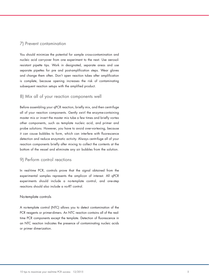#### 7) Prevent contamination

You should minimize the potential for sample cross-contamination and nucleic acid carryover from one experiment to the next. Use aerosolresistant pipette tips. Work in designated, separate areas and use separate pipettes for pre and post-amplification steps. Wear gloves and change them often. Don't open reaction tubes after amplification is complete, because opening increases the risk of contaminating subsequent reaction setups with the amplified product.

#### 8) Mix all of your reaction components well

Before assembling your qPCR reaction, briefly mix, and then centrifuge all of your reaction components. Gently swirl the enzyme-containing master mix or invert the master mix tube a few times and briefly vortex other components, such as template nucleic acid, and primer and probe solutions. However, you have to avoid over-vortexing, because it can cause bubbles to form, which can interfere with fluorescence detection and reduce enzymatic activity. Always centrifuge all of your reaction components briefly after mixing to collect the contents at the bottom of the vessel and eliminate any air bubbles from the solution.

## 9) Perform control reactions

In real-time PCR, controls prove that the signal obtained from the experimental samples represents the amplicon of interest. All qPCR experiments should include a no-template control, and one-step reactions should also include a no-RT control.

#### No-template controls

A no-template control (NTC) allows you to detect contamination of the PCR reagents or primer-dimers. An NTC reaction contains all of the realtime PCR components except the template. Detection of fluorescence in an NTC reaction indicates the presence of contaminating nucleic acids or primer dimerization.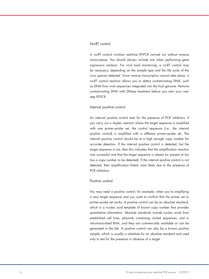#### No-RT control

A no-RT control involves real-time RT-PCR carried out without reverse transcriptase. You should always include one when performing gene expression analysis. For viral load monitoring, a no-RT control may be necessary, depending on the sample type and the life cycle of the virus species detected. Since reverse transcription cannot take place, a no-RT control reaction allows you to detect contaminating DNA, such as DNA from viral sequences integrated into the host genome. Remove contaminating DNA with DNase treatment before you start your onestep RT-PCR.

#### Internal positive control

An internal positive control tests for the presence of PCR inhibitors. If you carry out a duplex reaction where the target sequence is amplified with one primer–probe set, the control sequence (i.e., the internal positive control) is amplified with a different primer–probe set. The internal positive control should be at a high enough copy number for accurate detection. If the internal positive control is detected, but the target sequence is not, then this indicates that the amplification reaction was successful and that the target sequence is absent (or present at too low a copy number to be detected). If the internal positive control is not detected, then amplification failed, most likely due to the presence of PCR inhibitors.

#### Positive control

You may need a positive control, for example, when you're amplifying a new target sequence and you want to confirm that the primer set or primer–probe set works. A positive control can be an absolute standard, which is a nucleic acid template of known copy number that provides quantitative information. Absolute standards include nucleic acids from established cell lines, plasmids containing cloned sequences, and in vitro-transcribed RNA, and they are commercially available or can be generated in the lab. A positive control can also be a known positive sample, which is usually a substitute for an absolute standard and used only to test for the presence or absence of a target.